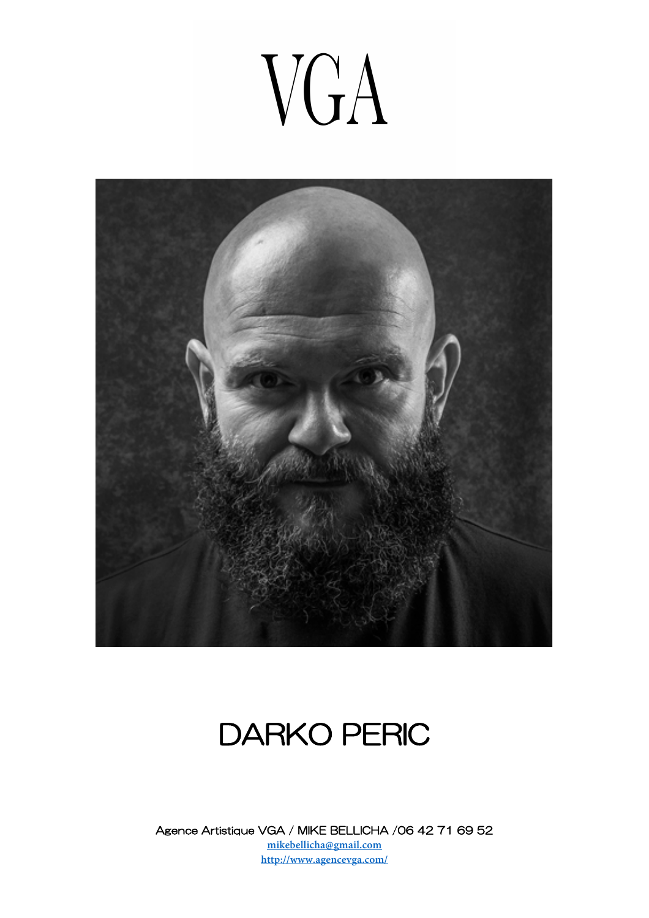# VGA



### DARKO PERIC

Agence Artistique VGA / MIKE BELLICHA /06 42 71 69 52 **mikebellicha@gmail.com http://www.agencevga.com/**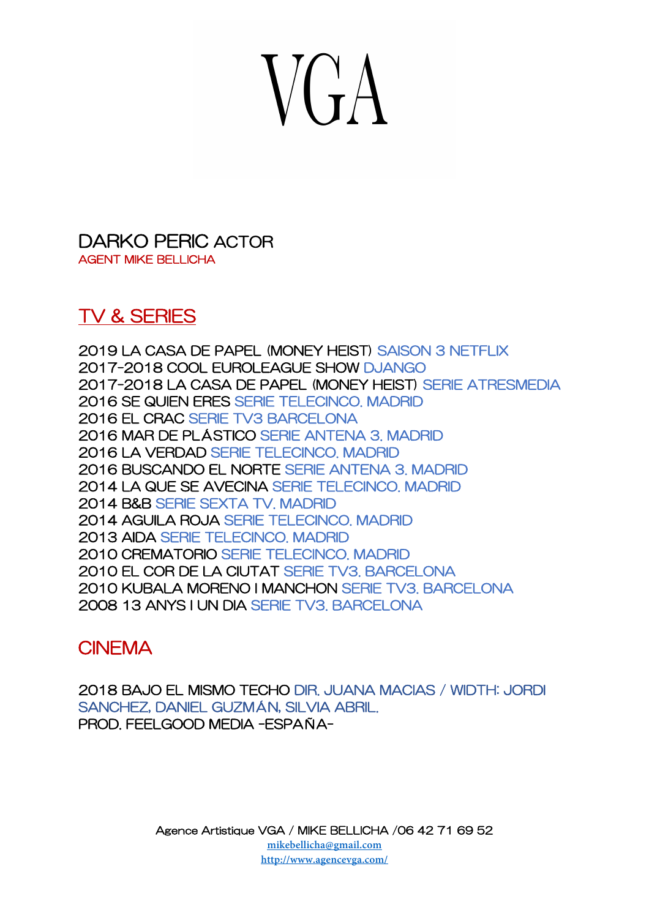# $V(A)$

DARKO PERIC ACTOR AGENT MIKE BELLICHA

### TV & SERIES

2019 LA CASA DE PAPEL (MONEY HEIST) SAISON 3 NETFLIX 2017-2018 COOL EUROLEAGUE SHOW DJANGO 2017-2018 LA CASA DE PAPEL (MONEY HEIST) SERIE ATRESMEDIA 2016 SE QUIEN ERES SERIE TELECINCO. MADRID 2016 EL CRAC SERIE TV3 BARCELONA 2016 MAR DE PLÁSTICO SERIE ANTENA 3. MADRID 2016 LA VERDAD SERIE TELECINCO. MADRID 2016 BUSCANDO EL NORTE SERIE ANTENA 3. MADRID 2014 LA QUE SE AVECINA SERIE TELECINCO. MADRID 2014 B&B SERIE SEXTA TV. MADRID 2014 AGUILA ROJA SERIE TELECINCO. MADRID 2013 AIDA SERIE TELECINCO. MADRID 2010 CREMATORIO SERIE TELECINCO. MADRID 2010 EL COR DE LA CIUTAT SERIE TV3. BARCELONA 2010 KUBALA MORENO I MANCHON SERIE TV3. BARCELONA 2008 13 ANYS I UN DIA SERIE TV3. BARCELONA

### **CINEMA**

2018 BAJO EL MISMO TECHO DIR. JUANA MACIAS / WIDTH: JORDI SANCHEZ, DANIEL GUZMÁN, SILVIA ABRIL. PROD. FEELGOOD MEDIA -ESPAÑA-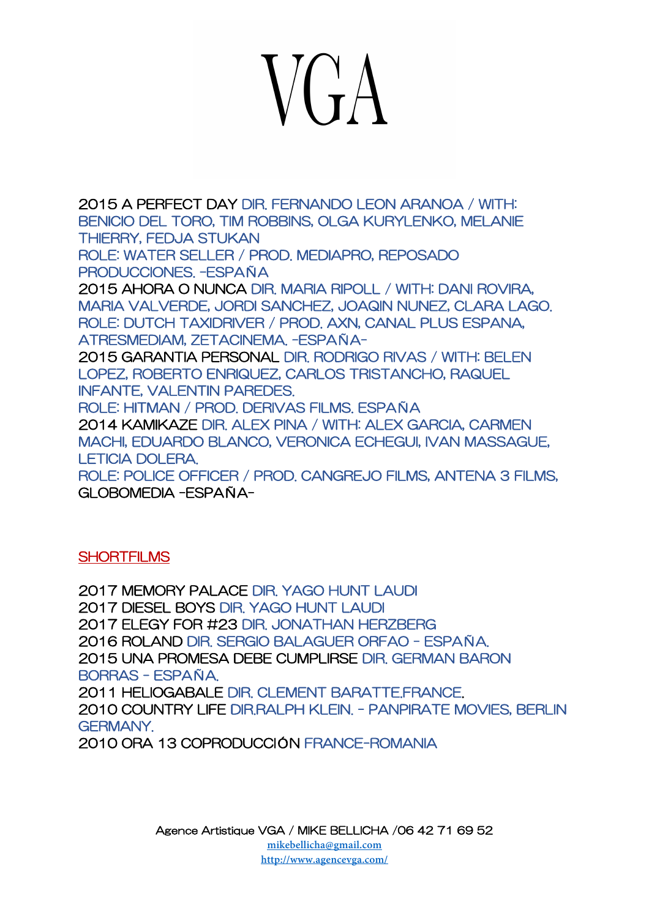# $V(fA)$

2015 A PERFECT DAY DIR. FERNANDO LEON ARANOA / WITH: BENICIO DEL TORO, TIM ROBBINS, OLGA KURYLENKO, MELANIE THIERRY, FEDJA STUKAN ROLE: WATER SELLER / PROD. MEDIAPRO, REPOSADO

PRODUCCIONES. –ESPAÑA

2015 AHORA O NUNCA DIR. MARIA RIPOLL / WITH: DANI ROVIRA, MARIA VALVERDE, JORDI SANCHEZ, JOAQIN NUNEZ, CLARA LAGO. ROLE: DUTCH TAXIDRIVER / PROD. AXN, CANAL PLUS ESPANA, ATRESMEDIAM, ZETACINEMA. -ESPAÑA-

2015 GARANTIA PERSONAL DIR. RODRIGO RIVAS / WITH: BELEN LOPEZ, ROBERTO ENRIQUEZ, CARLOS TRISTANCHO, RAQUEL INFANTE, VALENTIN PAREDES.

ROLE: HITMAN / PROD. DERIVAS FILMS. ESPAÑA

2014 KAMIKAZE DIR. ALEX PINA / WITH: ALEX GARCIA, CARMEN MACHI, EDUARDO BLANCO, VERONICA ECHEGUI, IVAN MASSAGUE, LETICIA DOLERA.

ROLE: POLICE OFFICER / PROD. CANGREJO FILMS, ANTENA 3 FILMS, GLOBOMEDIA -ESPAÑA-

#### **SHORTFILMS**

2017 MEMORY PALACE DIR. YAGO HUNT LAUDI 2017 DIESEL BOYS DIR. YAGO HUNT LAUDI 2017 ELEGY FOR #23 DIR. JONATHAN HERZBERG 2016 ROLAND DIR. SERGIO BALAGUER ORFAO - ESPAÑA. 2015 UNA PROMESA DEBE CUMPLIRSE DIR. GERMAN BARON BORRAS - ESPAÑA. 2011 HELIOGABALE DIR. CLEMENT BARATTE.FRANCE. 2010 COUNTRY LIFE DIR.RALPH KLEIN. - PANPIRATE MOVIES, BERLIN **GERMANY** 2010 ORA 13 COPRODUCCIÓN FRANCE-ROMANIA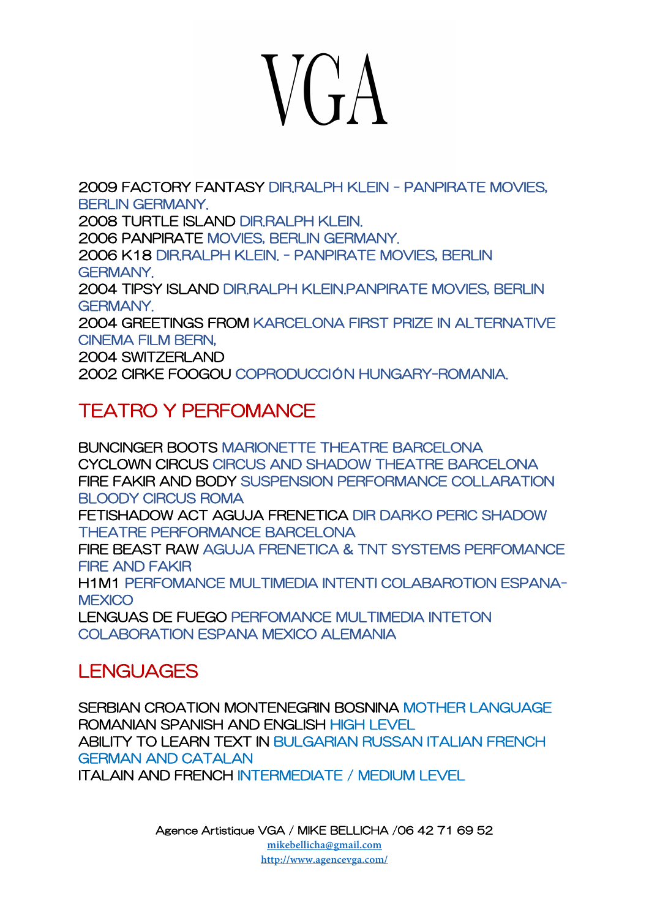# $V(\hat{\mathbf{r}})$

2009 FACTORY FANTASY DIR RALPH KLEIN - PANPIRATE MOVIES, BERLIN GERMANY. 2008 TURTLE ISLAND DIR.RALPH KLEIN. 2006 PANPIRATE MOVIES, BERLIN GERMANY. 2006 K18 DIR.RALPH KLEIN. - PANPIRATE MOVIES, BERLIN GERMANY. 2004 TIPSY ISLAND DIR.RALPH KLEIN.PANPIRATE MOVIES, BERLIN GERMANY. 2004 GREETINGS FROM KARCELONA FIRST PRIZE IN ALTERNATIVE CINEMA FILM BERN, 2004 SWITZERLAND 2002 CIRKE FOOGOU COPRODUCCIÓN HUNGARY-ROMANIA.

### TEATRO Y PERFOMANCE

BUNCINGER BOOTS MARIONETTE THEATRE BARCELONA CYCLOWN CIRCUS CIRCUS AND SHADOW THEATRE BARCELONA FIRE FAKIR AND BODY SUSPENSION PERFORMANCE COLLARATION BLOODY CIRCUS ROMA FETISHADOW ACT AGUJA FRENETICA DIR DARKO PERIC SHADOW THEATRE PERFORMANCE BARCELONA FIRE BEAST RAW AGUJA FRENETICA & TNT SYSTEMS PERFOMANCE FIRE AND FAKIR H1M1 PERFOMANCE MULTIMEDIA INTENTI COLABAROTION ESPANA-**MEXICO** LENGUAS DE FUEGO PERFOMANCE MULTIMEDIA INTETON COLABORATION ESPANA MEXICO ALEMANIA

### **LENGUAGES**

SERBIAN CROATION MONTENEGRIN BOSNINA MOTHER LANGUAGE ROMANIAN SPANISH AND ENGLISH HIGH LEVEL ABILITY TO LEARN TEXT IN BULGARIAN RUSSAN ITALIAN FRENCH **GERMAN AND CATALAN** ITALAIN AND FRENCH INTERMEDIATE / MEDIUM LEVEL